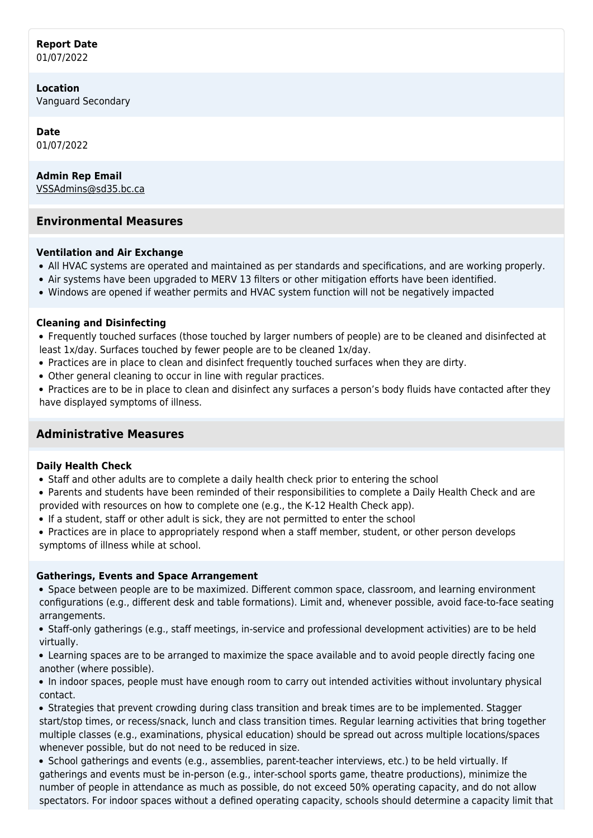#### **Report Date** 01/07/2022

**Location** Vanguard Secondary

**Date** 01/07/2022

**Admin Rep Email** [VSSAdmins@sd35.bc.ca](mailto:VSSAdmins@sd35.bc.ca)

# **Environmental Measures**

## **Ventilation and Air Exchange**

- All HVAC systems are operated and maintained as per standards and specifications, and are working properly.
- Air systems have been upgraded to MERV 13 filters or other mitigation efforts have been identified.
- Windows are opened if weather permits and HVAC system function will not be negatively impacted

#### **Cleaning and Disinfecting**

Frequently touched surfaces (those touched by larger numbers of people) are to be cleaned and disinfected at least 1x/day. Surfaces touched by fewer people are to be cleaned 1x/day.

- Practices are in place to clean and disinfect frequently touched surfaces when they are dirty.
- Other general cleaning to occur in line with regular practices.
- Practices are to be in place to clean and disinfect any surfaces a person's body fluids have contacted after they have displayed symptoms of illness.

# **Administrative Measures**

#### **Daily Health Check**

- Staff and other adults are to complete a daily health check prior to entering the school
- Parents and students have been reminded of their responsibilities to complete a Daily Health Check and are provided with resources on how to complete one (e.g., the K-12 Health Check app).
- If a student, staff or other adult is sick, they are not permitted to enter the school
- Practices are in place to appropriately respond when a staff member, student, or other person develops symptoms of illness while at school.

#### **Gatherings, Events and Space Arrangement**

Space between people are to be maximized. Different common space, classroom, and learning environment configurations (e.g., different desk and table formations). Limit and, whenever possible, avoid face-to-face seating arrangements.

Staff-only gatherings (e.g., staff meetings, in-service and professional development activities) are to be held virtually.

Learning spaces are to be arranged to maximize the space available and to avoid people directly facing one another (where possible).

In indoor spaces, people must have enough room to carry out intended activities without involuntary physical contact.

• Strategies that prevent crowding during class transition and break times are to be implemented. Stagger start/stop times, or recess/snack, lunch and class transition times. Regular learning activities that bring together multiple classes (e.g., examinations, physical education) should be spread out across multiple locations/spaces whenever possible, but do not need to be reduced in size.

School gatherings and events (e.g., assemblies, parent-teacher interviews, etc.) to be held virtually. If gatherings and events must be in-person (e.g., inter-school sports game, theatre productions), minimize the number of people in attendance as much as possible, do not exceed 50% operating capacity, and do not allow spectators. For indoor spaces without a defined operating capacity, schools should determine a capacity limit that